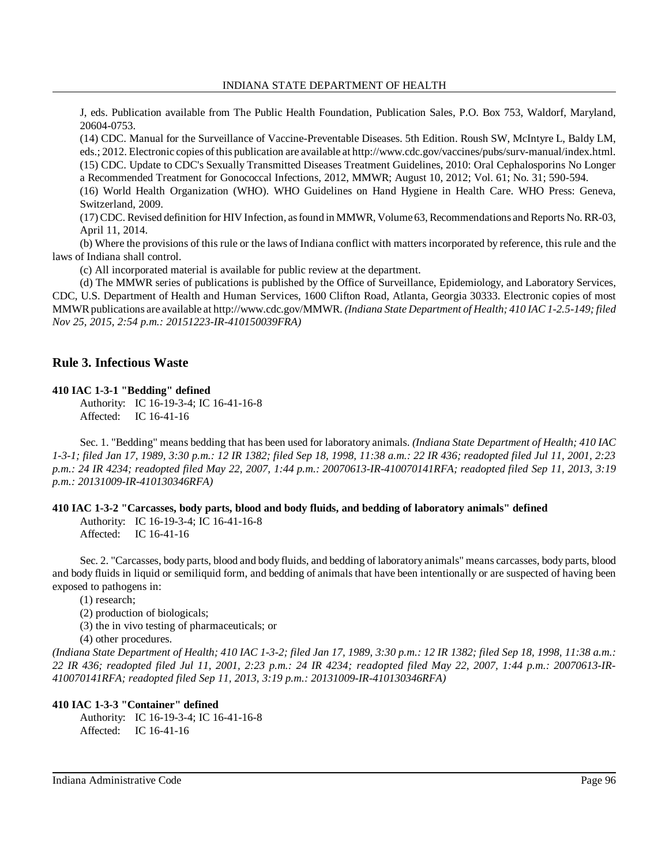J, eds. Publication available from The Public Health Foundation, Publication Sales, P.O. Box 753, Waldorf, Maryland, 20604-0753.

(14) CDC. Manual for the Surveillance of Vaccine-Preventable Diseases. 5th Edition. Roush SW, McIntyre L, Baldy LM, eds.; 2012. Electronic copies ofthis publication are available at http://www.cdc.gov/vaccines/pubs/surv-manual/index.html. (15) CDC. Update to CDC's Sexually Transmitted Diseases Treatment Guidelines, 2010: Oral Cephalosporins No Longer a Recommended Treatment for Gonococcal Infections, 2012, MMWR; August 10, 2012; Vol. 61; No. 31; 590-594. (16) World Health Organization (WHO). WHO Guidelines on Hand Hygiene in Health Care. WHO Press: Geneva, Switzerland, 2009.

(17) CDC. Revised definition for HIV Infection, asfound in MMWR, Volume 63,Recommendations and Reports No. RR-03, April 11, 2014.

(b) Where the provisions of this rule or the laws of Indiana conflict with matters incorporated by reference, this rule and the laws of Indiana shall control.

(c) All incorporated material is available for public review at the department.

(d) The MMWR series of publications is published by the Office of Surveillance, Epidemiology, and Laboratory Services, CDC, U.S. Department of Health and Human Services, 1600 Clifton Road, Atlanta, Georgia 30333. Electronic copies of most MMWRpublications are available at http://www.cdc.gov/MMWR. *(Indiana State Department of Health; 410 IAC 1-2.5-149; filed Nov 25, 2015, 2:54 p.m.: 20151223-IR-410150039FRA)*

# **Rule 3. Infectious Waste**

## **410 IAC 1-3-1 "Bedding" defined**

Authority: IC 16-19-3-4; IC 16-41-16-8 Affected: IC 16-41-16

Sec. 1. "Bedding" means bedding that has been used for laboratory animals. *(Indiana State Department of Health; 410 IAC 1-3-1; filed Jan 17, 1989, 3:30 p.m.: 12 IR 1382; filed Sep 18, 1998, 11:38 a.m.: 22 IR 436; readopted filed Jul 11, 2001, 2:23 p.m.: 24 IR 4234; readopted filed May 22, 2007, 1:44 p.m.: 20070613-IR-410070141RFA; readopted filed Sep 11, 2013, 3:19 p.m.: 20131009-IR-410130346RFA)*

# **410 IAC 1-3-2 "Carcasses, body parts, blood and body fluids, and bedding of laboratory animals" defined**

Authority: IC 16-19-3-4; IC 16-41-16-8 Affected: IC 16-41-16

Sec. 2. "Carcasses, body parts, blood and body fluids, and bedding of laboratoryanimals" means carcasses, body parts, blood and body fluids in liquid or semiliquid form, and bedding of animals that have been intentionally or are suspected of having been exposed to pathogens in:

(1) research;

(2) production of biologicals;

(3) the in vivo testing of pharmaceuticals; or

(4) other procedures.

(Indiana State Department of Health; 410 IAC 1-3-2; filed Jan 17, 1989, 3:30 p.m.: 12 IR 1382; filed Sep 18, 1998, 11:38 a.m.: *22 IR 436; readopted filed Jul 11, 2001, 2:23 p.m.: 24 IR 4234; readopted filed May 22, 2007, 1:44 p.m.: 20070613-IR-410070141RFA; readopted filed Sep 11, 2013, 3:19 p.m.: 20131009-IR-410130346RFA)*

### **410 IAC 1-3-3 "Container" defined**

Authority: IC 16-19-3-4; IC 16-41-16-8 Affected: IC 16-41-16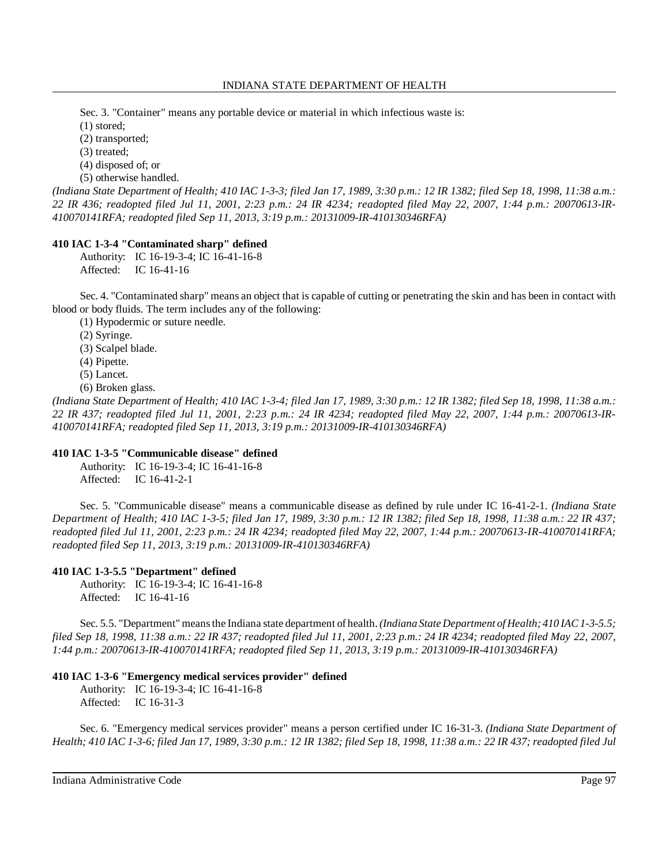Sec. 3. "Container" means any portable device or material in which infectious waste is:

(1) stored;

(2) transported;

(3) treated;

(4) disposed of; or

(5) otherwise handled.

(Indiana State Department of Health; 410 IAC 1-3-3; filed Jan 17, 1989, 3:30 p.m.: 12 IR 1382; filed Sep 18, 1998, 11:38 a.m.: *22 IR 436; readopted filed Jul 11, 2001, 2:23 p.m.: 24 IR 4234; readopted filed May 22, 2007, 1:44 p.m.: 20070613-IR-410070141RFA; readopted filed Sep 11, 2013, 3:19 p.m.: 20131009-IR-410130346RFA)*

# **410 IAC 1-3-4 "Contaminated sharp" defined**

Authority: IC 16-19-3-4; IC 16-41-16-8 Affected: IC 16-41-16

Sec. 4. "Contaminated sharp" means an object that is capable of cutting or penetrating the skin and has been in contact with blood or body fluids. The term includes any of the following:

(1) Hypodermic or suture needle.

(2) Syringe.

(3) Scalpel blade.

(4) Pipette.

(5) Lancet.

(6) Broken glass.

(Indiana State Department of Health; 410 IAC 1-3-4; filed Jan 17, 1989, 3:30 p.m.: 12 IR 1382; filed Sep 18, 1998, 11:38 a.m.: *22 IR 437; readopted filed Jul 11, 2001, 2:23 p.m.: 24 IR 4234; readopted filed May 22, 2007, 1:44 p.m.: 20070613-IR-410070141RFA; readopted filed Sep 11, 2013, 3:19 p.m.: 20131009-IR-410130346RFA)*

# **410 IAC 1-3-5 "Communicable disease" defined**

Authority: IC 16-19-3-4; IC 16-41-16-8 Affected: IC 16-41-2-1

Sec. 5. "Communicable disease" means a communicable disease as defined by rule under IC 16-41-2-1. *(Indiana State Department of Health; 410 IAC 1-3-5; filed Jan 17, 1989, 3:30 p.m.: 12 IR 1382; filed Sep 18, 1998, 11:38 a.m.: 22 IR 437;* readopted filed Jul 11, 2001, 2:23 p.m.: 24 IR 4234; readopted filed May 22, 2007, 1:44 p.m.: 20070613-IR-410070141RFA; *readopted filed Sep 11, 2013, 3:19 p.m.: 20131009-IR-410130346RFA)*

# **410 IAC 1-3-5.5 "Department" defined**

Authority: IC 16-19-3-4; IC 16-41-16-8 Affected: IC 16-41-16

Sec. 5.5. "Department" meansthe Indiana state department of health.*(Indiana State Department of Health; 410 IAC1-3-5.5; filed Sep 18, 1998, 11:38 a.m.: 22 IR 437; readopted filed Jul 11, 2001, 2:23 p.m.: 24 IR 4234; readopted filed May 22, 2007, 1:44 p.m.: 20070613-IR-410070141RFA; readopted filed Sep 11, 2013, 3:19 p.m.: 20131009-IR-410130346RFA)*

# **410 IAC 1-3-6 "Emergency medical services provider" defined**

Authority: IC 16-19-3-4; IC 16-41-16-8 Affected: IC 16-31-3

Sec. 6. "Emergency medical services provider" means a person certified under IC 16-31-3. *(Indiana State Department of* Health; 410 IAC 1-3-6; filed Jan 17, 1989, 3:30 p.m.: 12 IR 1382; filed Sep 18, 1998, 11:38 a.m.: 22 IR 437; readopted filed Jul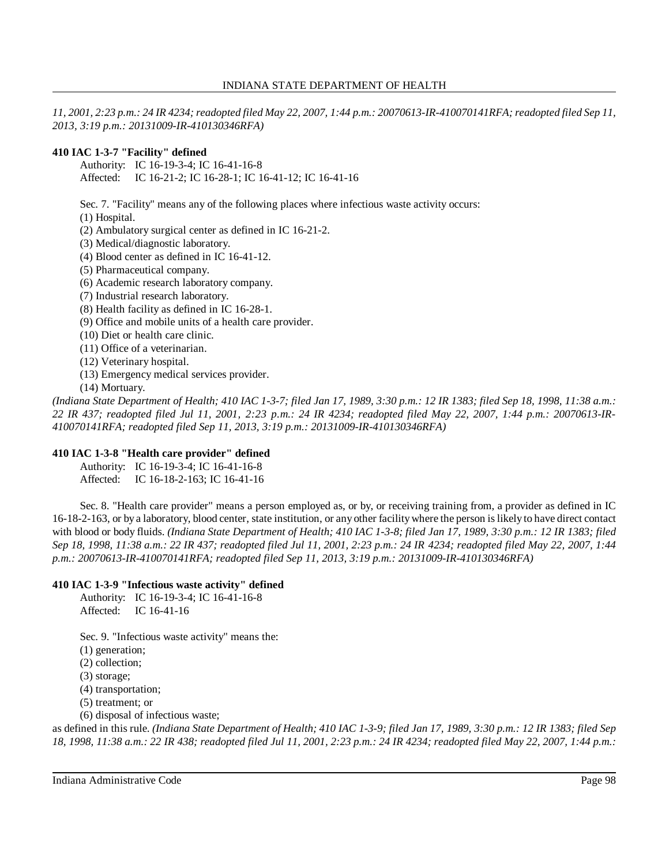11, 2001, 2:23 p.m.: 24 IR 4234; readopted filed May 22, 2007, 1:44 p.m.: 20070613-IR-410070141RFA; readopted filed Sep 11, *2013, 3:19 p.m.: 20131009-IR-410130346RFA)*

# **410 IAC 1-3-7 "Facility" defined**

Authority: IC 16-19-3-4; IC 16-41-16-8 Affected: IC 16-21-2; IC 16-28-1; IC 16-41-12; IC 16-41-16

Sec. 7. "Facility" means any of the following places where infectious waste activity occurs:

- (1) Hospital.
- (2) Ambulatory surgical center as defined in IC 16-21-2.
- (3) Medical/diagnostic laboratory.
- (4) Blood center as defined in IC 16-41-12.
- (5) Pharmaceutical company.
- (6) Academic research laboratory company.
- (7) Industrial research laboratory.
- (8) Health facility as defined in IC 16-28-1.
- (9) Office and mobile units of a health care provider.
- (10) Diet or health care clinic.
- (11) Office of a veterinarian.
- (12) Veterinary hospital.
- (13) Emergency medical services provider.
- (14) Mortuary.

(Indiana State Department of Health; 410 IAC 1-3-7; filed Jan 17, 1989, 3:30 p.m.: 12 IR 1383; filed Sep 18, 1998, 11:38 a.m.: *22 IR 437; readopted filed Jul 11, 2001, 2:23 p.m.: 24 IR 4234; readopted filed May 22, 2007, 1:44 p.m.: 20070613-IR-410070141RFA; readopted filed Sep 11, 2013, 3:19 p.m.: 20131009-IR-410130346RFA)*

# **410 IAC 1-3-8 "Health care provider" defined**

Authority: IC 16-19-3-4; IC 16-41-16-8 Affected: IC 16-18-2-163; IC 16-41-16

Sec. 8. "Health care provider" means a person employed as, or by, or receiving training from, a provider as defined in IC 16-18-2-163, or by a laboratory, blood center, state institution, or any other facilitywhere the person islikely to have direct contact with blood or body fluids. *(Indiana State Department of Health; 410 IAC 1-3-8; filed Jan 17, 1989, 3:30 p.m.: 12 IR 1383; filed Sep 18, 1998, 11:38 a.m.: 22 IR 437; readopted filed Jul 11, 2001, 2:23 p.m.: 24 IR 4234; readopted filed May 22, 2007, 1:44 p.m.: 20070613-IR-410070141RFA; readopted filed Sep 11, 2013, 3:19 p.m.: 20131009-IR-410130346RFA)*

# **410 IAC 1-3-9 "Infectious waste activity" defined**

Authority: IC 16-19-3-4; IC 16-41-16-8 Affected: IC 16-41-16

Sec. 9. "Infectious waste activity" means the:

(1) generation;

(2) collection;

(3) storage;

(4) transportation;

(5) treatment; or

(6) disposal of infectious waste;

as defined in this rule. (Indiana State Department of Health; 410 IAC 1-3-9; filed Jan 17, 1989, 3:30 p.m.: 12 IR 1383; filed Sep 18, 1998, 11:38 a.m.: 22 IR 438; readopted filed Jul 11, 2001, 2:23 p.m.: 24 IR 4234; readopted filed May 22, 2007, 1:44 p.m.: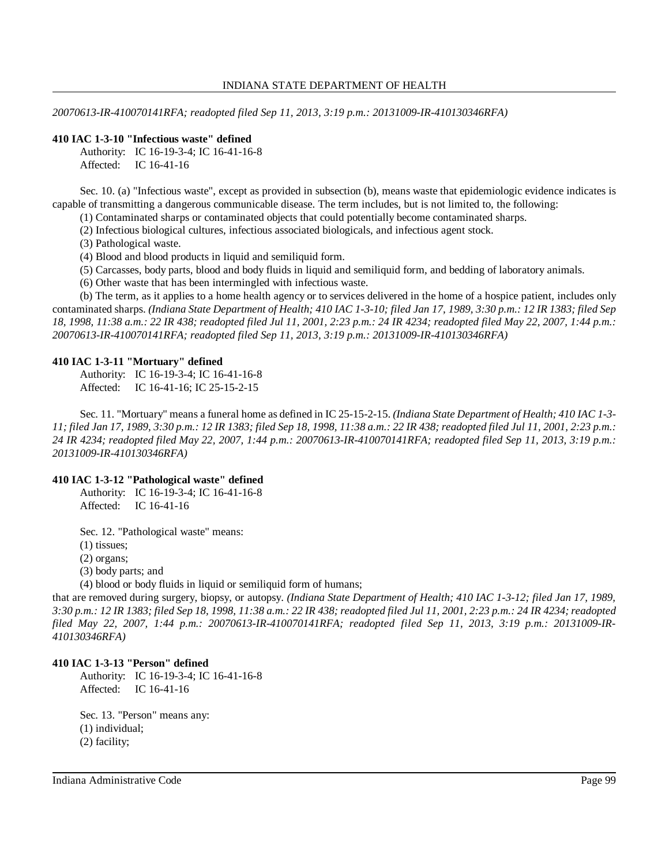#### INDIANA STATE DEPARTMENT OF HEALTH

*20070613-IR-410070141RFA; readopted filed Sep 11, 2013, 3:19 p.m.: 20131009-IR-410130346RFA)*

## **410 IAC 1-3-10 "Infectious waste" defined**

Authority: IC 16-19-3-4; IC 16-41-16-8 Affected: IC 16-41-16

Sec. 10. (a) "Infectious waste", except as provided in subsection (b), means waste that epidemiologic evidence indicates is capable of transmitting a dangerous communicable disease. The term includes, but is not limited to, the following:

(1) Contaminated sharps or contaminated objects that could potentially become contaminated sharps.

(2) Infectious biological cultures, infectious associated biologicals, and infectious agent stock.

(3) Pathological waste.

(4) Blood and blood products in liquid and semiliquid form.

(5) Carcasses, body parts, blood and body fluids in liquid and semiliquid form, and bedding of laboratory animals.

(6) Other waste that has been intermingled with infectious waste.

(b) The term, as it applies to a home health agency or to services delivered in the home of a hospice patient, includes only contaminated sharps. (Indiana State Department of Health; 410 IAC 1-3-10; filed Jan 17, 1989, 3:30 p.m.: 12 IR 1383; filed Sep 18, 1998, 11:38 a.m.: 22 IR 438; readopted filed Jul 11, 2001, 2:23 p.m.: 24 IR 4234; readopted filed May 22, 2007, 1:44 p.m.: *20070613-IR-410070141RFA; readopted filed Sep 11, 2013, 3:19 p.m.: 20131009-IR-410130346RFA)*

## **410 IAC 1-3-11 "Mortuary" defined**

Authority: IC 16-19-3-4; IC 16-41-16-8 Affected: IC 16-41-16; IC 25-15-2-15

Sec. 11. "Mortuary" means a funeral home as defined in IC 25-15-2-15. *(Indiana State Department of Health; 410 IAC 1-3-* 11; filed Jan 17, 1989, 3:30 p.m.: 12 IR 1383; filed Sep 18, 1998, 11:38 a.m.: 22 IR 438; readopted filed Jul 11, 2001, 2:23 p.m.: *24 IR 4234; readopted filed May 22, 2007, 1:44 p.m.: 20070613-IR-410070141RFA; readopted filed Sep 11, 2013, 3:19 p.m.: 20131009-IR-410130346RFA)*

## **410 IAC 1-3-12 "Pathological waste" defined**

Authority: IC 16-19-3-4; IC 16-41-16-8 Affected: IC 16-41-16

Sec. 12. "Pathological waste" means:

(1) tissues;

(2) organs;

(3) body parts; and

(4) blood or body fluids in liquid or semiliquid form of humans;

that are removed during surgery, biopsy, or autopsy. *(Indiana State Department of Health; 410 IAC 1-3-12; filed Jan 17, 1989,* 3:30 p.m.: 12 IR 1383; filed Sep 18, 1998, 11:38 a.m.: 22 IR 438; readopted filed Jul 11, 2001, 2:23 p.m.: 24 IR 4234; readopted *filed May 22, 2007, 1:44 p.m.: 20070613-IR-410070141RFA; readopted filed Sep 11, 2013, 3:19 p.m.: 20131009-IR-410130346RFA)*

#### **410 IAC 1-3-13 "Person" defined**

Authority: IC 16-19-3-4; IC 16-41-16-8 Affected: IC 16-41-16

Sec. 13. "Person" means any: (1) individual; (2) facility;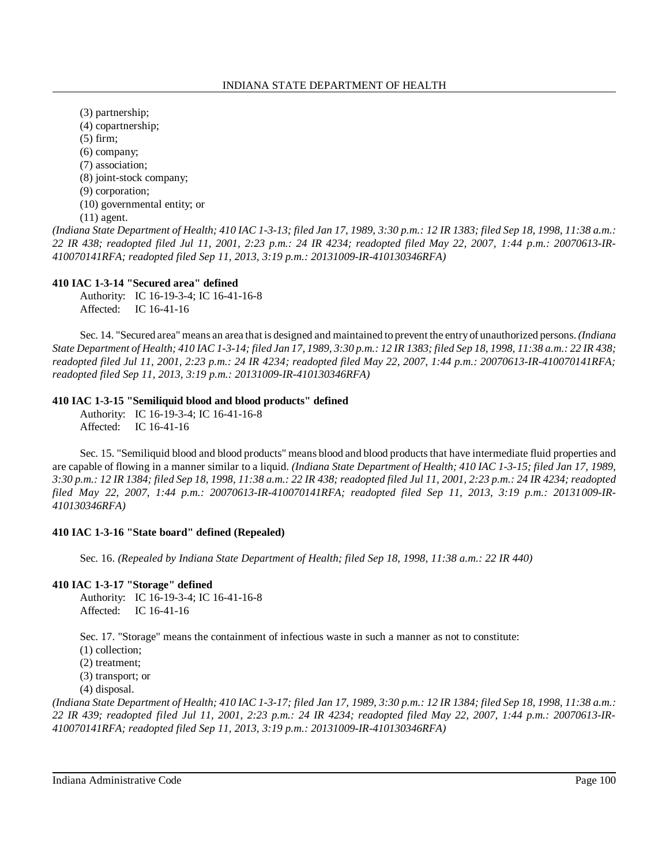(3) partnership; (4) copartnership; (5) firm; (6) company; (7) association; (8) joint-stock company; (9) corporation; (10) governmental entity; or

(11) agent.

(Indiana State Department of Health; 410 IAC 1-3-13; filed Jan 17, 1989, 3:30 p.m.: 12 IR 1383; filed Sep 18, 1998, 11:38 a.m.: 22 IR 438; readopted filed Jul 11, 2001, 2:23 p.m.: 24 IR 4234; readopted filed May 22, 2007, 1:44 p.m.: 20070613-IR-*410070141RFA; readopted filed Sep 11, 2013, 3:19 p.m.: 20131009-IR-410130346RFA)*

## **410 IAC 1-3-14 "Secured area" defined**

Authority: IC 16-19-3-4; IC 16-41-16-8 Affected: IC 16-41-16

Sec. 14. "Secured area" means an area that is designed and maintained to prevent the entryof unauthorized persons. *(Indiana* State Department of Health; 410 IAC 1-3-14; filed Jan 17, 1989, 3:30 p.m.: 12 IR 1383; filed Sep 18, 1998, 11:38 a.m.: 22 IR 438; *readopted filed Jul 11, 2001, 2:23 p.m.: 24 IR 4234; readopted filed May 22, 2007, 1:44 p.m.: 20070613-IR-410070141RFA; readopted filed Sep 11, 2013, 3:19 p.m.: 20131009-IR-410130346RFA)*

# **410 IAC 1-3-15 "Semiliquid blood and blood products" defined**

Authority: IC 16-19-3-4; IC 16-41-16-8 Affected: IC 16-41-16

Sec. 15. "Semiliquid blood and blood products" means blood and blood products that have intermediate fluid properties and are capable of flowing in a manner similar to a liquid. *(Indiana State Department of Health; 410 IAC 1-3-15; filed Jan 17, 1989,* 3:30 p.m.: 12 IR 1384; filed Sep 18, 1998, 11:38 a.m.: 22 IR 438; readopted filed Jul 11, 2001, 2:23 p.m.: 24 IR 4234; readopted *filed May 22, 2007, 1:44 p.m.: 20070613-IR-410070141RFA; readopted filed Sep 11, 2013, 3:19 p.m.: 20131009-IR-410130346RFA)*

### **410 IAC 1-3-16 "State board" defined (Repealed)**

Sec. 16. *(Repealed by Indiana State Department of Health; filed Sep 18, 1998, 11:38 a.m.: 22 IR 440)*

### **410 IAC 1-3-17 "Storage" defined**

Authority: IC 16-19-3-4; IC 16-41-16-8 Affected: IC 16-41-16

Sec. 17. "Storage" means the containment of infectious waste in such a manner as not to constitute:

(1) collection;

(2) treatment;

(3) transport; or

(4) disposal.

(Indiana State Department of Health; 410 IAC 1-3-17; filed Jan 17, 1989, 3:30 p.m.: 12 IR 1384; filed Sep 18, 1998, 11:38 a.m.: *22 IR 439; readopted filed Jul 11, 2001, 2:23 p.m.: 24 IR 4234; readopted filed May 22, 2007, 1:44 p.m.: 20070613-IR-410070141RFA; readopted filed Sep 11, 2013, 3:19 p.m.: 20131009-IR-410130346RFA)*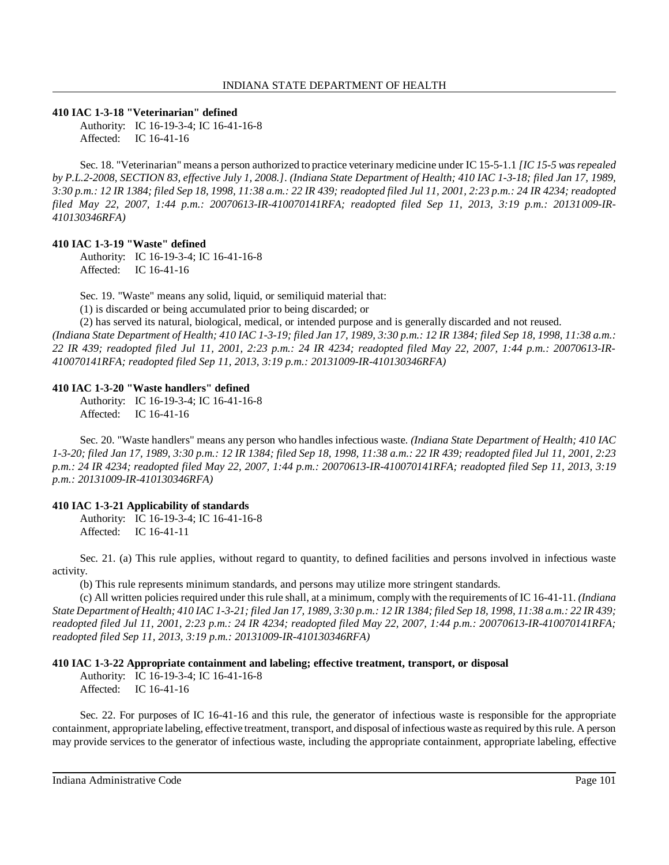#### **410 IAC 1-3-18 "Veterinarian" defined**

Authority: IC 16-19-3-4; IC 16-41-16-8 Affected: IC 16-41-16

Sec. 18. "Veterinarian" means a person authorized to practice veterinary medicine under IC 15-5-1.1 *[IC 15-5 wasrepealed* by P.L.2-2008, SECTION 83, effective July 1, 2008.]. (Indiana State Department of Health; 410 IAC 1-3-18; filed Jan 17, 1989, 3:30 p.m.: 12 IR 1384; filed Sep 18, 1998, 11:38 a.m.: 22 IR 439; readopted filed Jul 11, 2001, 2:23 p.m.: 24 IR 4234; readopted *filed May 22, 2007, 1:44 p.m.: 20070613-IR-410070141RFA; readopted filed Sep 11, 2013, 3:19 p.m.: 20131009-IR-410130346RFA)*

### **410 IAC 1-3-19 "Waste" defined**

Authority: IC 16-19-3-4; IC 16-41-16-8 Affected: IC 16-41-16

Sec. 19. "Waste" means any solid, liquid, or semiliquid material that:

(1) is discarded or being accumulated prior to being discarded; or

(2) has served its natural, biological, medical, or intended purpose and is generally discarded and not reused.

(Indiana State Department of Health; 410 IAC 1-3-19; filed Jan 17, 1989, 3:30 p.m.: 12 IR 1384; filed Sep 18, 1998, 11:38 a.m.: *22 IR 439; readopted filed Jul 11, 2001, 2:23 p.m.: 24 IR 4234; readopted filed May 22, 2007, 1:44 p.m.: 20070613-IR-410070141RFA; readopted filed Sep 11, 2013, 3:19 p.m.: 20131009-IR-410130346RFA)*

#### **410 IAC 1-3-20 "Waste handlers" defined**

Authority: IC 16-19-3-4; IC 16-41-16-8 Affected: IC 16-41-16

Sec. 20. "Waste handlers" means any person who handles infectious waste. *(Indiana State Department of Health; 410 IAC* 1-3-20; filed Jan 17, 1989, 3:30 p.m.: 12 IR 1384; filed Sep 18, 1998, 11:38 a.m.: 22 IR 439; readopted filed Jul 11, 2001, 2:23 *p.m.: 24 IR 4234; readopted filed May 22, 2007, 1:44 p.m.: 20070613-IR-410070141RFA; readopted filed Sep 11, 2013, 3:19 p.m.: 20131009-IR-410130346RFA)*

### **410 IAC 1-3-21 Applicability of standards**

Authority: IC 16-19-3-4; IC 16-41-16-8 Affected: IC 16-41-11

Sec. 21. (a) This rule applies, without regard to quantity, to defined facilities and persons involved in infectious waste activity.

(b) This rule represents minimum standards, and persons may utilize more stringent standards.

(c) All written policies required under thisrule shall, at a minimum, complywith the requirements of IC 16-41-11. *(Indiana* State Department of Health; 410 IAC 1-3-21; filed Jan 17, 1989, 3:30 p.m.: 12 IR 1384; filed Sep 18, 1998, 11:38 a.m.: 22 IR 439; readopted filed Jul 11, 2001, 2:23 p.m.: 24 IR 4234; readopted filed May 22, 2007, 1:44 p.m.: 20070613-IR-410070141RFA; *readopted filed Sep 11, 2013, 3:19 p.m.: 20131009-IR-410130346RFA)*

### **410 IAC 1-3-22 Appropriate containment and labeling; effective treatment, transport, or disposal**

Authority: IC 16-19-3-4; IC 16-41-16-8 Affected: IC 16-41-16

Sec. 22. For purposes of IC 16-41-16 and this rule, the generator of infectious waste is responsible for the appropriate containment, appropriate labeling, effective treatment, transport, and disposal of infectious waste as required by this rule. A person may provide services to the generator of infectious waste, including the appropriate containment, appropriate labeling, effective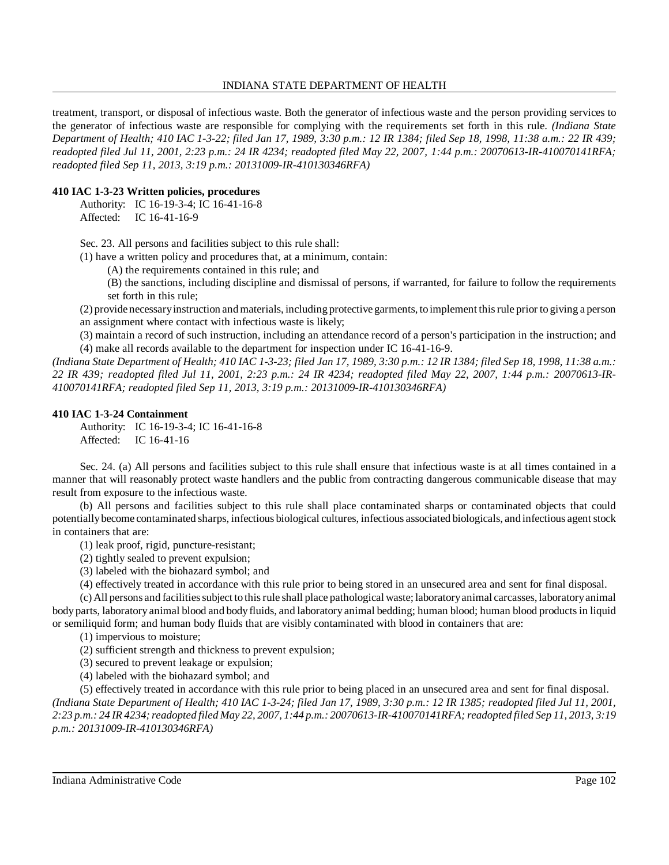### INDIANA STATE DEPARTMENT OF HEALTH

treatment, transport, or disposal of infectious waste. Both the generator of infectious waste and the person providing services to the generator of infectious waste are responsible for complying with the requirements set forth in this rule. *(Indiana State* Department of Health; 410 IAC 1-3-22; filed Jan 17, 1989, 3:30 p.m.: 12 IR 1384; filed Sep 18, 1998, 11:38 a.m.: 22 IR 439; *readopted filed Jul 11, 2001, 2:23 p.m.: 24 IR 4234; readopted filed May 22, 2007, 1:44 p.m.: 20070613-IR-410070141RFA; readopted filed Sep 11, 2013, 3:19 p.m.: 20131009-IR-410130346RFA)*

# **410 IAC 1-3-23 Written policies, procedures**

Authority: IC 16-19-3-4; IC 16-41-16-8 Affected: IC 16-41-16-9

Sec. 23. All persons and facilities subject to this rule shall:

(1) have a written policy and procedures that, at a minimum, contain:

- (A) the requirements contained in this rule; and
- (B) the sanctions, including discipline and dismissal of persons, if warranted, for failure to follow the requirements set forth in this rule;

(2) provide necessaryinstruction andmaterials, including protective garments, toimplement thisrule prior to giving a person an assignment where contact with infectious waste is likely;

(3) maintain a record of such instruction, including an attendance record of a person's participation in the instruction; and (4) make all records available to the department for inspection under IC 16-41-16-9.

(Indiana State Department of Health; 410 IAC 1-3-23; filed Jan 17, 1989, 3:30 p.m.: 12 IR 1384; filed Sep 18, 1998, 11:38 a.m.: *22 IR 439; readopted filed Jul 11, 2001, 2:23 p.m.: 24 IR 4234; readopted filed May 22, 2007, 1:44 p.m.: 20070613-IR-410070141RFA; readopted filed Sep 11, 2013, 3:19 p.m.: 20131009-IR-410130346RFA)*

## **410 IAC 1-3-24 Containment**

Authority: IC 16-19-3-4; IC 16-41-16-8 Affected: IC 16-41-16

Sec. 24. (a) All persons and facilities subject to this rule shall ensure that infectious waste is at all times contained in a manner that will reasonably protect waste handlers and the public from contracting dangerous communicable disease that may result from exposure to the infectious waste.

(b) All persons and facilities subject to this rule shall place contaminated sharps or contaminated objects that could potentiallybecome contaminated sharps, infectious biological cultures, infectious associated biologicals, and infectious agentstock in containers that are:

(1) leak proof, rigid, puncture-resistant;

- (2) tightly sealed to prevent expulsion;
- (3) labeled with the biohazard symbol; and
- (4) effectively treated in accordance with this rule prior to being stored in an unsecured area and sent for final disposal.

(c) All persons and facilitiessubject to thisrule shall place pathological waste; laboratoryanimal carcasses, laboratoryanimal body parts, laboratory animal blood and bodyfluids, and laboratory animal bedding; human blood; human blood productsin liquid or semiliquid form; and human body fluids that are visibly contaminated with blood in containers that are:

- (1) impervious to moisture;
- (2) sufficient strength and thickness to prevent expulsion;
- (3) secured to prevent leakage or expulsion;
- (4) labeled with the biohazard symbol; and

(5) effectively treated in accordance with this rule prior to being placed in an unsecured area and sent for final disposal. *(Indiana State Department of Health; 410 IAC 1-3-24; filed Jan 17, 1989, 3:30 p.m.: 12 IR 1385; readopted filed Jul 11, 2001,* 2:23 p.m.: 24 IR 4234; readopted filed May 22, 2007, 1:44 p.m.: 20070613-IR-410070141RFA; readopted filed Sep 11, 2013, 3:19 *p.m.: 20131009-IR-410130346RFA)*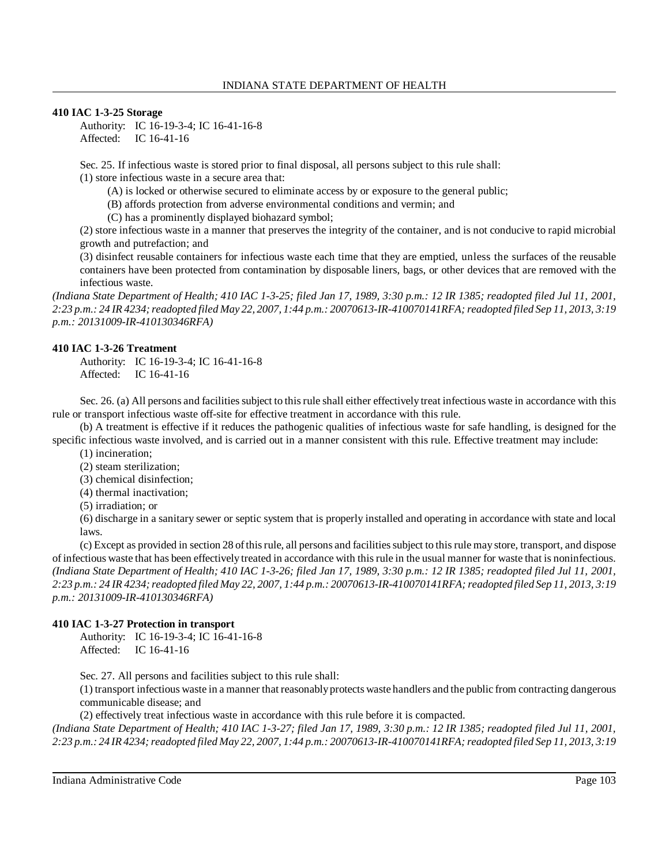### **410 IAC 1-3-25 Storage**

Authority: IC 16-19-3-4; IC 16-41-16-8 Affected: IC 16-41-16

Sec. 25. If infectious waste is stored prior to final disposal, all persons subject to this rule shall: (1) store infectious waste in a secure area that:

(A) is locked or otherwise secured to eliminate access by or exposure to the general public;

(B) affords protection from adverse environmental conditions and vermin; and

(C) has a prominently displayed biohazard symbol;

(2) store infectious waste in a manner that preserves the integrity of the container, and is not conducive to rapid microbial growth and putrefaction; and

(3) disinfect reusable containers for infectious waste each time that they are emptied, unless the surfaces of the reusable containers have been protected from contamination by disposable liners, bags, or other devices that are removed with the infectious waste.

*(Indiana State Department of Health; 410 IAC 1-3-25; filed Jan 17, 1989, 3:30 p.m.: 12 IR 1385; readopted filed Jul 11, 2001,* 2:23 p.m.: 24 IR 4234; readopted filed May 22, 2007, 1:44 p.m.: 20070613-IR-410070141RFA; readopted filed Sep 11, 2013, 3:19 *p.m.: 20131009-IR-410130346RFA)*

## **410 IAC 1-3-26 Treatment**

Authority: IC 16-19-3-4; IC 16-41-16-8 Affected: IC 16-41-16

Sec. 26. (a) All persons and facilities subject to this rule shall either effectively treat infectious waste in accordance with this rule or transport infectious waste off-site for effective treatment in accordance with this rule.

(b) A treatment is effective if it reduces the pathogenic qualities of infectious waste for safe handling, is designed for the specific infectious waste involved, and is carried out in a manner consistent with this rule. Effective treatment may include:

(1) incineration;

- (2) steam sterilization;
- (3) chemical disinfection;
- (4) thermal inactivation;
- (5) irradiation; or

(6) discharge in a sanitary sewer or septic system that is properly installed and operating in accordance with state and local laws.

(c) Except as provided in section 28 ofthisrule, all persons and facilitiessubject to thisrule may store, transport, and dispose of infectious waste that has been effectively treated in accordance with thisrule in the usual manner for waste that is noninfectious. *(Indiana State Department of Health; 410 IAC 1-3-26; filed Jan 17, 1989, 3:30 p.m.: 12 IR 1385; readopted filed Jul 11, 2001,* 2:23 p.m.: 24 IR 4234; readopted filed May 22, 2007, 1:44 p.m.: 20070613-IR-410070141RFA; readopted filed Sep 11, 2013, 3:19 *p.m.: 20131009-IR-410130346RFA)*

### **410 IAC 1-3-27 Protection in transport**

Authority: IC 16-19-3-4; IC 16-41-16-8 Affected: IC 16-41-16

Sec. 27. All persons and facilities subject to this rule shall:

(1) transport infectious waste in a manner that reasonablyprotects waste handlers and the public from contracting dangerous communicable disease; and

(2) effectively treat infectious waste in accordance with this rule before it is compacted.

*(Indiana State Department of Health; 410 IAC 1-3-27; filed Jan 17, 1989, 3:30 p.m.: 12 IR 1385; readopted filed Jul 11, 2001,* 2:23 p.m.: 24 IR 4234; readopted filed May 22, 2007, 1:44 p.m.: 20070613-IR-410070141RFA; readopted filed Sep 11, 2013, 3:19